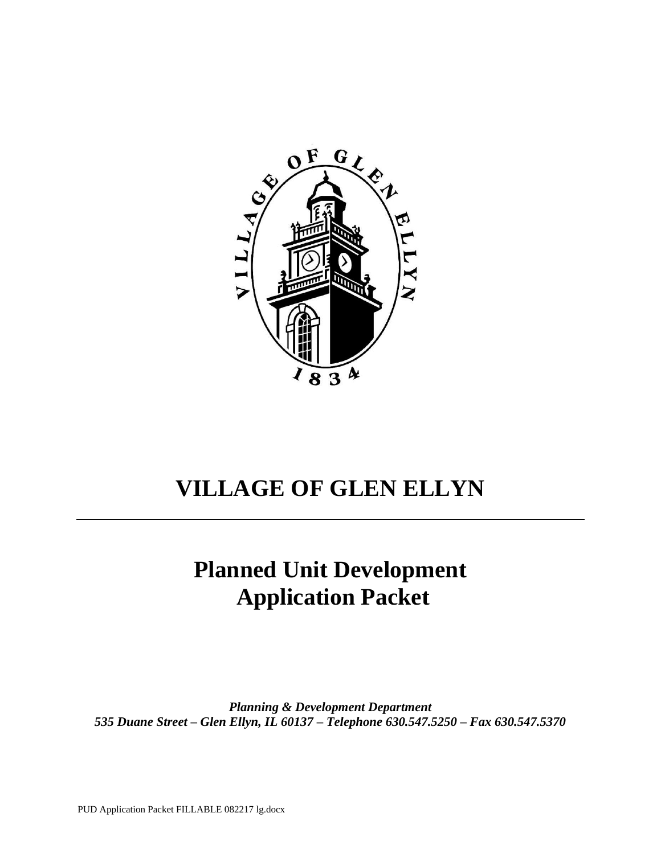

# **VILLAGE OF GLEN ELLYN**

# **Planned Unit Development Application Packet**

*Planning & Development Department 535 Duane Street – Glen Ellyn, IL 60137 – Telephone 630.547.5250 – Fax 630.547.5370*

PUD Application Packet FILLABLE 082217 lg.docx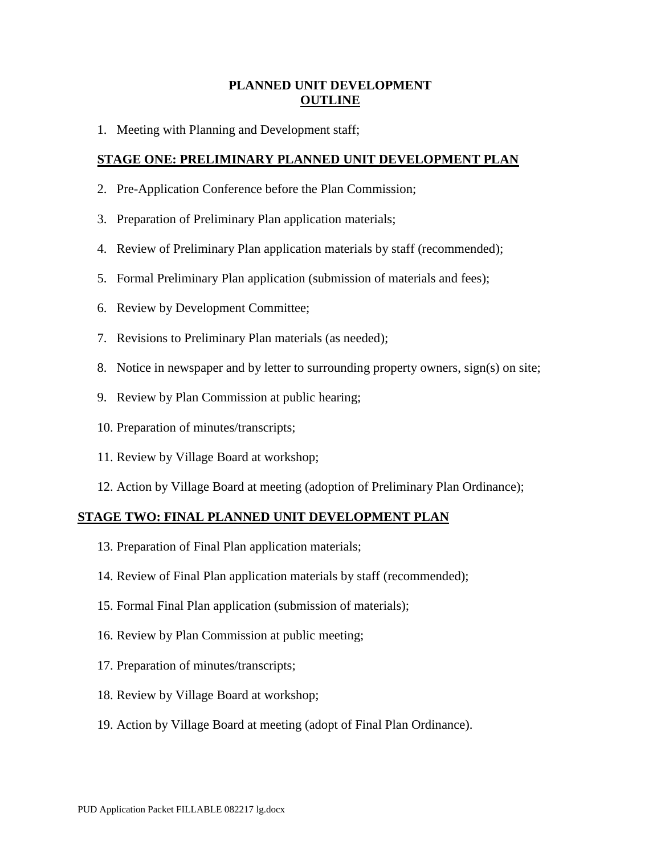## **PLANNED UNIT DEVELOPMENT OUTLINE**

1. Meeting with Planning and Development staff;

## **STAGE ONE: PRELIMINARY PLANNED UNIT DEVELOPMENT PLAN**

- 2. Pre-Application Conference before the Plan Commission;
- 3. Preparation of Preliminary Plan application materials;
- 4. Review of Preliminary Plan application materials by staff (recommended);
- 5. Formal Preliminary Plan application (submission of materials and fees);
- 6. Review by Development Committee;
- 7. Revisions to Preliminary Plan materials (as needed);
- 8. Notice in newspaper and by letter to surrounding property owners, sign(s) on site;
- 9. Review by Plan Commission at public hearing;
- 10. Preparation of minutes/transcripts;
- 11. Review by Village Board at workshop;
- 12. Action by Village Board at meeting (adoption of Preliminary Plan Ordinance);

### **STAGE TWO: FINAL PLANNED UNIT DEVELOPMENT PLAN**

- 13. Preparation of Final Plan application materials;
- 14. Review of Final Plan application materials by staff (recommended);
- 15. Formal Final Plan application (submission of materials);
- 16. Review by Plan Commission at public meeting;
- 17. Preparation of minutes/transcripts;
- 18. Review by Village Board at workshop;
- 19. Action by Village Board at meeting (adopt of Final Plan Ordinance).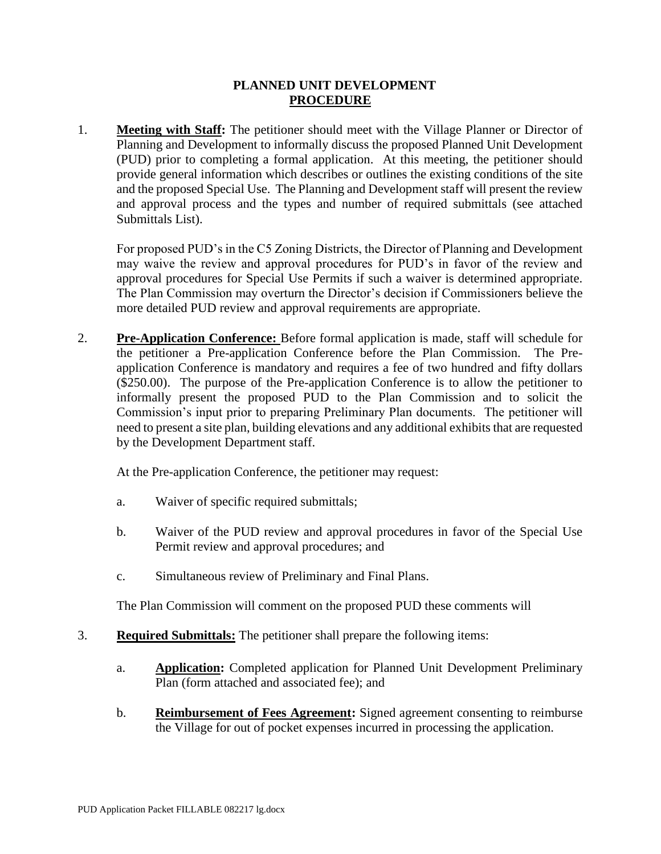## **PLANNED UNIT DEVELOPMENT PROCEDURE**

1. **Meeting with Staff:** The petitioner should meet with the Village Planner or Director of Planning and Development to informally discuss the proposed Planned Unit Development (PUD) prior to completing a formal application. At this meeting, the petitioner should provide general information which describes or outlines the existing conditions of the site and the proposed Special Use. The Planning and Development staff will present the review and approval process and the types and number of required submittals (see attached Submittals List).

For proposed PUD's in the C5 Zoning Districts, the Director of Planning and Development may waive the review and approval procedures for PUD's in favor of the review and approval procedures for Special Use Permits if such a waiver is determined appropriate. The Plan Commission may overturn the Director's decision if Commissioners believe the more detailed PUD review and approval requirements are appropriate.

2. **Pre-Application Conference:** Before formal application is made, staff will schedule for the petitioner a Pre-application Conference before the Plan Commission. The Preapplication Conference is mandatory and requires a fee of two hundred and fifty dollars (\$250.00). The purpose of the Pre-application Conference is to allow the petitioner to informally present the proposed PUD to the Plan Commission and to solicit the Commission's input prior to preparing Preliminary Plan documents. The petitioner will need to present a site plan, building elevations and any additional exhibits that are requested by the Development Department staff.

At the Pre-application Conference, the petitioner may request:

- a. Waiver of specific required submittals;
- b. Waiver of the PUD review and approval procedures in favor of the Special Use Permit review and approval procedures; and
- c. Simultaneous review of Preliminary and Final Plans.

The Plan Commission will comment on the proposed PUD these comments will

- 3. **Required Submittals:** The petitioner shall prepare the following items:
	- a. **Application:** Completed application for Planned Unit Development Preliminary Plan (form attached and associated fee); and
	- b. **Reimbursement of Fees Agreement:** Signed agreement consenting to reimburse the Village for out of pocket expenses incurred in processing the application.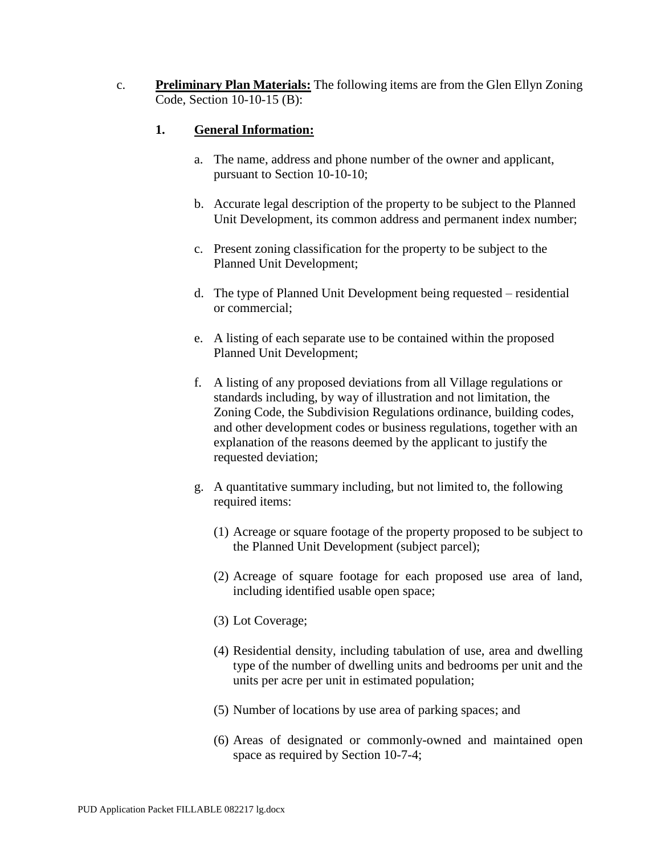c. **Preliminary Plan Materials:** The following items are from the Glen Ellyn Zoning Code, Section 10-10-15 (B):

## **1. General Information:**

- a. The name, address and phone number of the owner and applicant, pursuant to Section 10-10-10;
- b. Accurate legal description of the property to be subject to the Planned Unit Development, its common address and permanent index number;
- c. Present zoning classification for the property to be subject to the Planned Unit Development;
- d. The type of Planned Unit Development being requested residential or commercial;
- e. A listing of each separate use to be contained within the proposed Planned Unit Development;
- f. A listing of any proposed deviations from all Village regulations or standards including, by way of illustration and not limitation, the Zoning Code, the Subdivision Regulations ordinance, building codes, and other development codes or business regulations, together with an explanation of the reasons deemed by the applicant to justify the requested deviation;
- g. A quantitative summary including, but not limited to, the following required items:
	- (1) Acreage or square footage of the property proposed to be subject to the Planned Unit Development (subject parcel);
	- (2) Acreage of square footage for each proposed use area of land, including identified usable open space;
	- (3) Lot Coverage;
	- (4) Residential density, including tabulation of use, area and dwelling type of the number of dwelling units and bedrooms per unit and the units per acre per unit in estimated population;
	- (5) Number of locations by use area of parking spaces; and
	- (6) Areas of designated or commonly-owned and maintained open space as required by Section 10-7-4;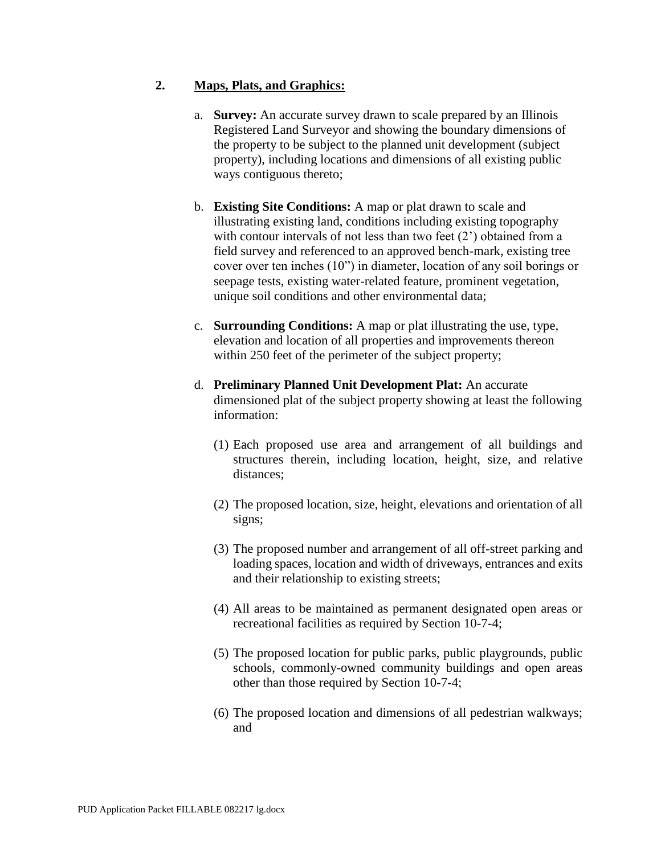## **2. Maps, Plats, and Graphics:**

- a. **Survey:** An accurate survey drawn to scale prepared by an Illinois Registered Land Surveyor and showing the boundary dimensions of the property to be subject to the planned unit development (subject property), including locations and dimensions of all existing public ways contiguous thereto;
- b. **Existing Site Conditions:** A map or plat drawn to scale and illustrating existing land, conditions including existing topography with contour intervals of not less than two feet  $(2)$  obtained from a field survey and referenced to an approved bench-mark, existing tree cover over ten inches (10") in diameter, location of any soil borings or seepage tests, existing water-related feature, prominent vegetation, unique soil conditions and other environmental data;
- c. **Surrounding Conditions:** A map or plat illustrating the use, type, elevation and location of all properties and improvements thereon within 250 feet of the perimeter of the subject property;
- d. **Preliminary Planned Unit Development Plat:** An accurate dimensioned plat of the subject property showing at least the following information:
	- (1) Each proposed use area and arrangement of all buildings and structures therein, including location, height, size, and relative distances;
	- (2) The proposed location, size, height, elevations and orientation of all signs;
	- (3) The proposed number and arrangement of all off-street parking and loading spaces, location and width of driveways, entrances and exits and their relationship to existing streets;
	- (4) All areas to be maintained as permanent designated open areas or recreational facilities as required by Section 10-7-4;
	- (5) The proposed location for public parks, public playgrounds, public schools, commonly-owned community buildings and open areas other than those required by Section 10-7-4;
	- (6) The proposed location and dimensions of all pedestrian walkways; and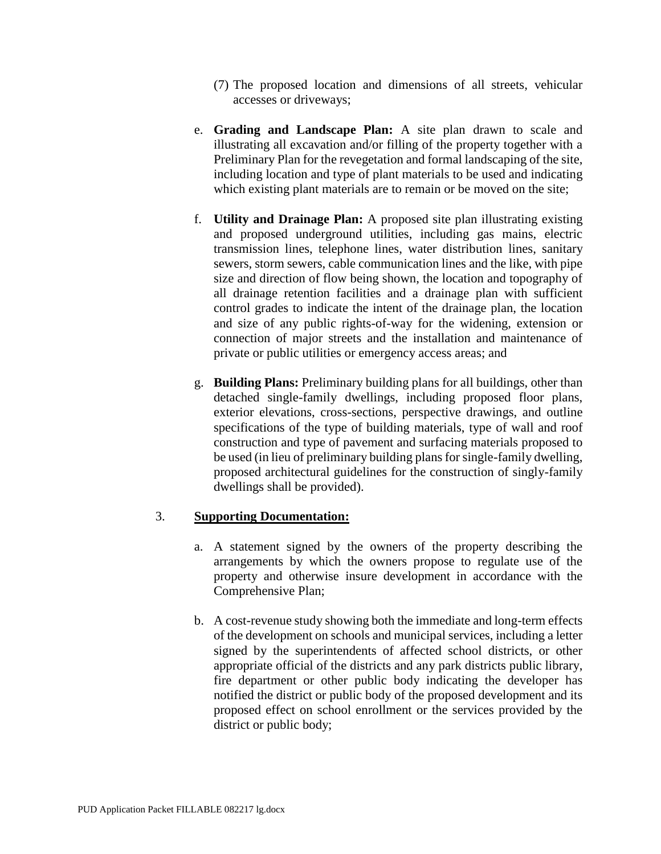- (7) The proposed location and dimensions of all streets, vehicular accesses or driveways;
- e. **Grading and Landscape Plan:** A site plan drawn to scale and illustrating all excavation and/or filling of the property together with a Preliminary Plan for the revegetation and formal landscaping of the site, including location and type of plant materials to be used and indicating which existing plant materials are to remain or be moved on the site;
- f. **Utility and Drainage Plan:** A proposed site plan illustrating existing and proposed underground utilities, including gas mains, electric transmission lines, telephone lines, water distribution lines, sanitary sewers, storm sewers, cable communication lines and the like, with pipe size and direction of flow being shown, the location and topography of all drainage retention facilities and a drainage plan with sufficient control grades to indicate the intent of the drainage plan, the location and size of any public rights-of-way for the widening, extension or connection of major streets and the installation and maintenance of private or public utilities or emergency access areas; and
- g. **Building Plans:** Preliminary building plans for all buildings, other than detached single-family dwellings, including proposed floor plans, exterior elevations, cross-sections, perspective drawings, and outline specifications of the type of building materials, type of wall and roof construction and type of pavement and surfacing materials proposed to be used (in lieu of preliminary building plans for single-family dwelling, proposed architectural guidelines for the construction of singly-family dwellings shall be provided).

## 3. **Supporting Documentation:**

- a. A statement signed by the owners of the property describing the arrangements by which the owners propose to regulate use of the property and otherwise insure development in accordance with the Comprehensive Plan;
- b. A cost-revenue study showing both the immediate and long-term effects of the development on schools and municipal services, including a letter signed by the superintendents of affected school districts, or other appropriate official of the districts and any park districts public library, fire department or other public body indicating the developer has notified the district or public body of the proposed development and its proposed effect on school enrollment or the services provided by the district or public body;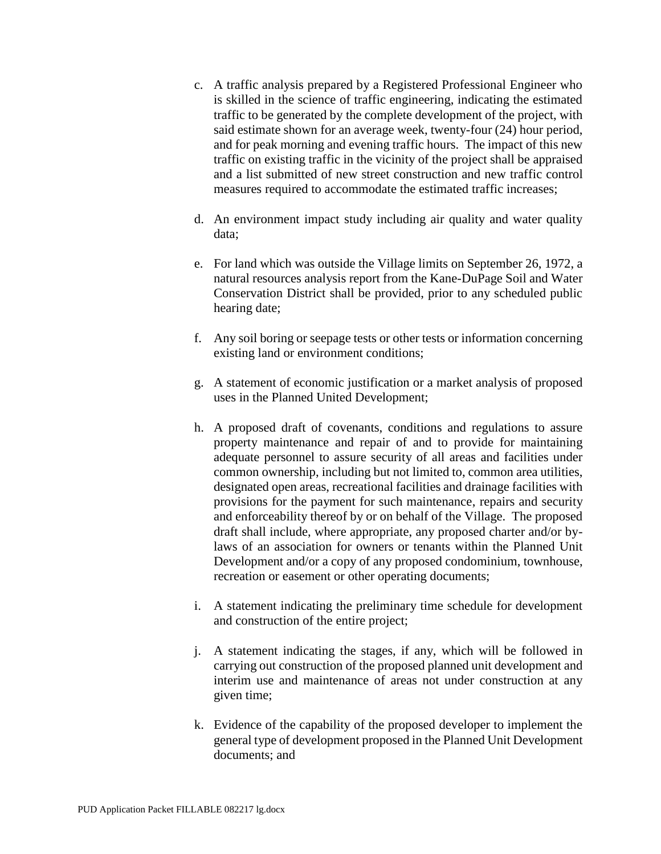- c. A traffic analysis prepared by a Registered Professional Engineer who is skilled in the science of traffic engineering, indicating the estimated traffic to be generated by the complete development of the project, with said estimate shown for an average week, twenty-four (24) hour period, and for peak morning and evening traffic hours. The impact of this new traffic on existing traffic in the vicinity of the project shall be appraised and a list submitted of new street construction and new traffic control measures required to accommodate the estimated traffic increases;
- d. An environment impact study including air quality and water quality data;
- e. For land which was outside the Village limits on September 26, 1972, a natural resources analysis report from the Kane-DuPage Soil and Water Conservation District shall be provided, prior to any scheduled public hearing date;
- f. Any soil boring or seepage tests or other tests or information concerning existing land or environment conditions;
- g. A statement of economic justification or a market analysis of proposed uses in the Planned United Development;
- h. A proposed draft of covenants, conditions and regulations to assure property maintenance and repair of and to provide for maintaining adequate personnel to assure security of all areas and facilities under common ownership, including but not limited to, common area utilities, designated open areas, recreational facilities and drainage facilities with provisions for the payment for such maintenance, repairs and security and enforceability thereof by or on behalf of the Village. The proposed draft shall include, where appropriate, any proposed charter and/or bylaws of an association for owners or tenants within the Planned Unit Development and/or a copy of any proposed condominium, townhouse, recreation or easement or other operating documents;
- i. A statement indicating the preliminary time schedule for development and construction of the entire project;
- j. A statement indicating the stages, if any, which will be followed in carrying out construction of the proposed planned unit development and interim use and maintenance of areas not under construction at any given time;
- k. Evidence of the capability of the proposed developer to implement the general type of development proposed in the Planned Unit Development documents; and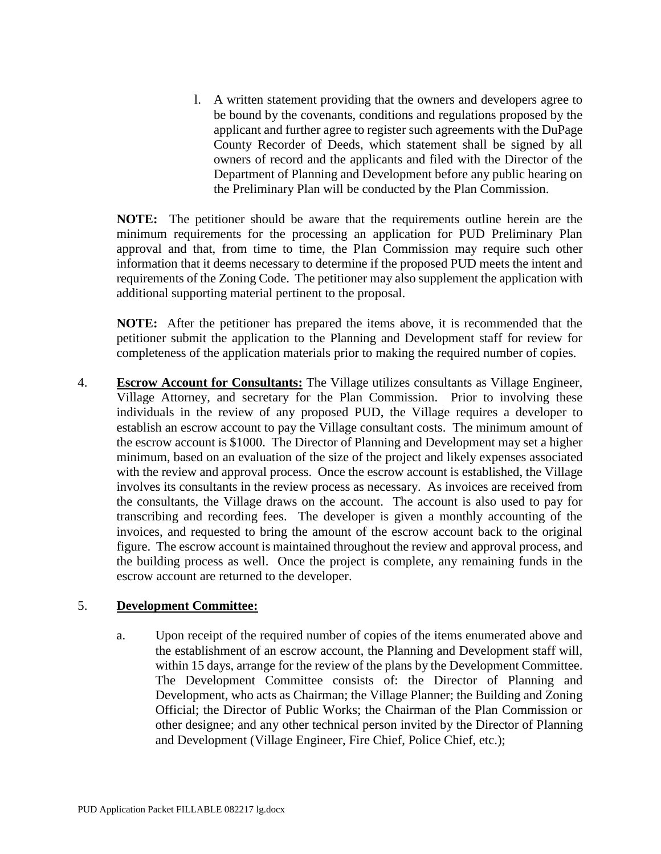l. A written statement providing that the owners and developers agree to be bound by the covenants, conditions and regulations proposed by the applicant and further agree to register such agreements with the DuPage County Recorder of Deeds, which statement shall be signed by all owners of record and the applicants and filed with the Director of the Department of Planning and Development before any public hearing on the Preliminary Plan will be conducted by the Plan Commission.

**NOTE:** The petitioner should be aware that the requirements outline herein are the minimum requirements for the processing an application for PUD Preliminary Plan approval and that, from time to time, the Plan Commission may require such other information that it deems necessary to determine if the proposed PUD meets the intent and requirements of the Zoning Code. The petitioner may also supplement the application with additional supporting material pertinent to the proposal.

**NOTE:** After the petitioner has prepared the items above, it is recommended that the petitioner submit the application to the Planning and Development staff for review for completeness of the application materials prior to making the required number of copies.

4. **Escrow Account for Consultants:** The Village utilizes consultants as Village Engineer, Village Attorney, and secretary for the Plan Commission. Prior to involving these individuals in the review of any proposed PUD, the Village requires a developer to establish an escrow account to pay the Village consultant costs. The minimum amount of the escrow account is \$1000. The Director of Planning and Development may set a higher minimum, based on an evaluation of the size of the project and likely expenses associated with the review and approval process. Once the escrow account is established, the Village involves its consultants in the review process as necessary. As invoices are received from the consultants, the Village draws on the account. The account is also used to pay for transcribing and recording fees. The developer is given a monthly accounting of the invoices, and requested to bring the amount of the escrow account back to the original figure. The escrow account is maintained throughout the review and approval process, and the building process as well. Once the project is complete, any remaining funds in the escrow account are returned to the developer.

### 5. **Development Committee:**

a. Upon receipt of the required number of copies of the items enumerated above and the establishment of an escrow account, the Planning and Development staff will, within 15 days, arrange for the review of the plans by the Development Committee. The Development Committee consists of: the Director of Planning and Development, who acts as Chairman; the Village Planner; the Building and Zoning Official; the Director of Public Works; the Chairman of the Plan Commission or other designee; and any other technical person invited by the Director of Planning and Development (Village Engineer, Fire Chief, Police Chief, etc.);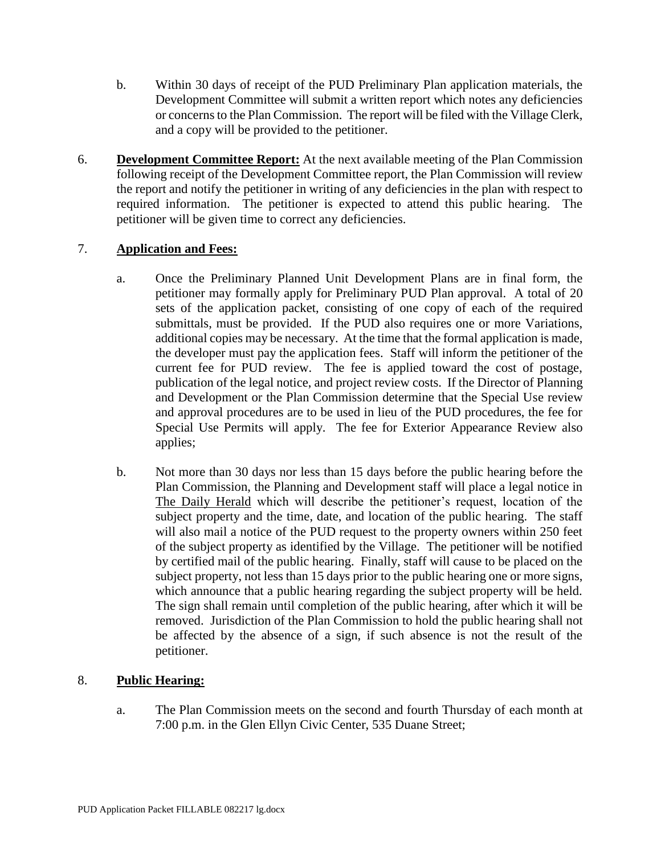- b. Within 30 days of receipt of the PUD Preliminary Plan application materials, the Development Committee will submit a written report which notes any deficiencies or concerns to the Plan Commission. The report will be filed with the Village Clerk, and a copy will be provided to the petitioner.
- 6. **Development Committee Report:** At the next available meeting of the Plan Commission following receipt of the Development Committee report, the Plan Commission will review the report and notify the petitioner in writing of any deficiencies in the plan with respect to required information. The petitioner is expected to attend this public hearing. The petitioner will be given time to correct any deficiencies.

## 7. **Application and Fees:**

- a. Once the Preliminary Planned Unit Development Plans are in final form, the petitioner may formally apply for Preliminary PUD Plan approval. A total of 20 sets of the application packet, consisting of one copy of each of the required submittals, must be provided. If the PUD also requires one or more Variations, additional copies may be necessary. At the time that the formal application is made, the developer must pay the application fees. Staff will inform the petitioner of the current fee for PUD review. The fee is applied toward the cost of postage, publication of the legal notice, and project review costs. If the Director of Planning and Development or the Plan Commission determine that the Special Use review and approval procedures are to be used in lieu of the PUD procedures, the fee for Special Use Permits will apply. The fee for Exterior Appearance Review also applies;
- b. Not more than 30 days nor less than 15 days before the public hearing before the Plan Commission, the Planning and Development staff will place a legal notice in The Daily Herald which will describe the petitioner's request, location of the subject property and the time, date, and location of the public hearing. The staff will also mail a notice of the PUD request to the property owners within 250 feet of the subject property as identified by the Village. The petitioner will be notified by certified mail of the public hearing. Finally, staff will cause to be placed on the subject property, not less than 15 days prior to the public hearing one or more signs, which announce that a public hearing regarding the subject property will be held. The sign shall remain until completion of the public hearing, after which it will be removed. Jurisdiction of the Plan Commission to hold the public hearing shall not be affected by the absence of a sign, if such absence is not the result of the petitioner.

## 8. **Public Hearing:**

a. The Plan Commission meets on the second and fourth Thursday of each month at 7:00 p.m. in the Glen Ellyn Civic Center, 535 Duane Street;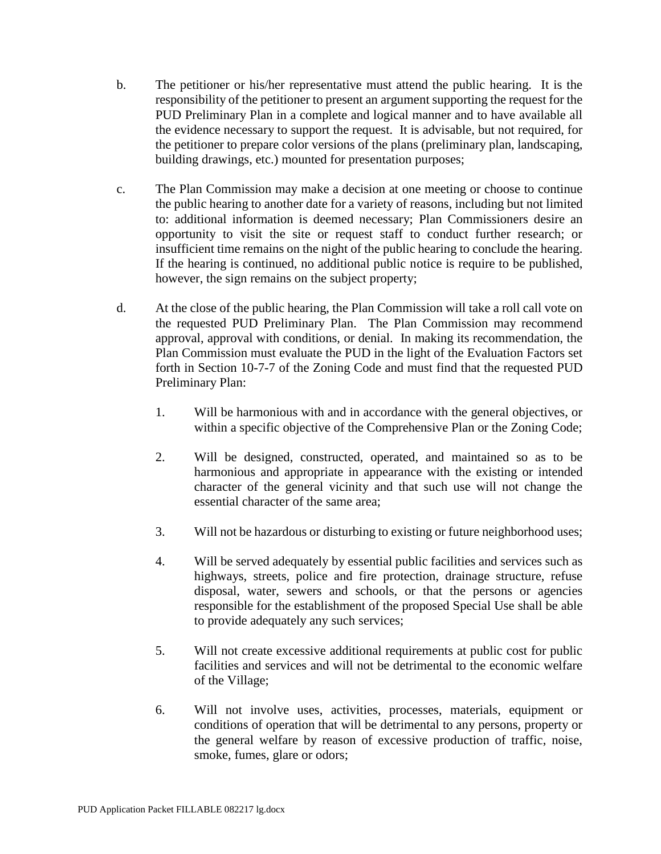- b. The petitioner or his/her representative must attend the public hearing. It is the responsibility of the petitioner to present an argument supporting the request for the PUD Preliminary Plan in a complete and logical manner and to have available all the evidence necessary to support the request. It is advisable, but not required, for the petitioner to prepare color versions of the plans (preliminary plan, landscaping, building drawings, etc.) mounted for presentation purposes;
- c. The Plan Commission may make a decision at one meeting or choose to continue the public hearing to another date for a variety of reasons, including but not limited to: additional information is deemed necessary; Plan Commissioners desire an opportunity to visit the site or request staff to conduct further research; or insufficient time remains on the night of the public hearing to conclude the hearing. If the hearing is continued, no additional public notice is require to be published, however, the sign remains on the subject property;
- d. At the close of the public hearing, the Plan Commission will take a roll call vote on the requested PUD Preliminary Plan. The Plan Commission may recommend approval, approval with conditions, or denial. In making its recommendation, the Plan Commission must evaluate the PUD in the light of the Evaluation Factors set forth in Section 10-7-7 of the Zoning Code and must find that the requested PUD Preliminary Plan:
	- 1. Will be harmonious with and in accordance with the general objectives, or within a specific objective of the Comprehensive Plan or the Zoning Code;
	- 2. Will be designed, constructed, operated, and maintained so as to be harmonious and appropriate in appearance with the existing or intended character of the general vicinity and that such use will not change the essential character of the same area;
	- 3. Will not be hazardous or disturbing to existing or future neighborhood uses;
	- 4. Will be served adequately by essential public facilities and services such as highways, streets, police and fire protection, drainage structure, refuse disposal, water, sewers and schools, or that the persons or agencies responsible for the establishment of the proposed Special Use shall be able to provide adequately any such services;
	- 5. Will not create excessive additional requirements at public cost for public facilities and services and will not be detrimental to the economic welfare of the Village;
	- 6. Will not involve uses, activities, processes, materials, equipment or conditions of operation that will be detrimental to any persons, property or the general welfare by reason of excessive production of traffic, noise, smoke, fumes, glare or odors;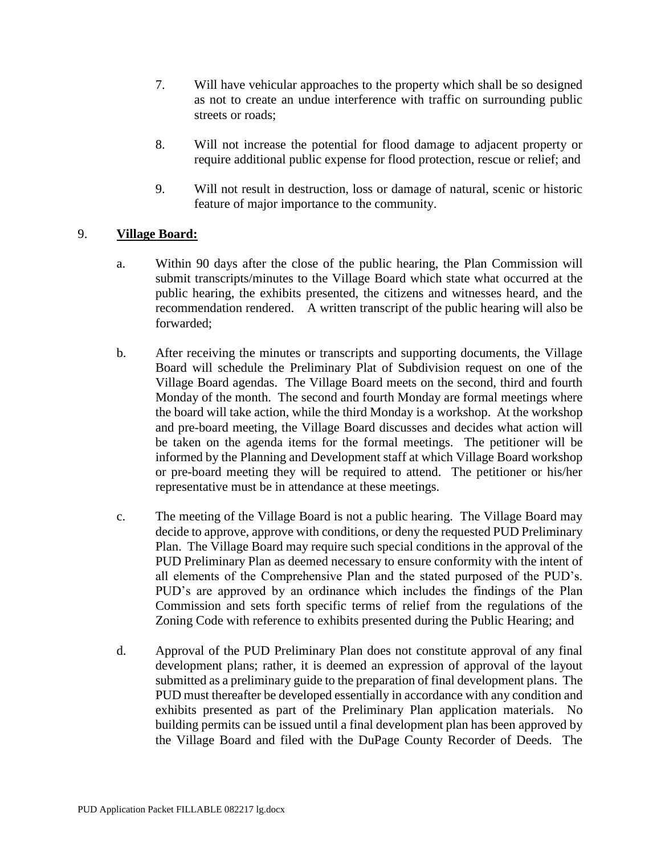- 7. Will have vehicular approaches to the property which shall be so designed as not to create an undue interference with traffic on surrounding public streets or roads;
- 8. Will not increase the potential for flood damage to adjacent property or require additional public expense for flood protection, rescue or relief; and
- 9. Will not result in destruction, loss or damage of natural, scenic or historic feature of major importance to the community.

## 9. **Village Board:**

- a. Within 90 days after the close of the public hearing, the Plan Commission will submit transcripts/minutes to the Village Board which state what occurred at the public hearing, the exhibits presented, the citizens and witnesses heard, and the recommendation rendered. A written transcript of the public hearing will also be forwarded;
- b. After receiving the minutes or transcripts and supporting documents, the Village Board will schedule the Preliminary Plat of Subdivision request on one of the Village Board agendas. The Village Board meets on the second, third and fourth Monday of the month. The second and fourth Monday are formal meetings where the board will take action, while the third Monday is a workshop. At the workshop and pre-board meeting, the Village Board discusses and decides what action will be taken on the agenda items for the formal meetings. The petitioner will be informed by the Planning and Development staff at which Village Board workshop or pre-board meeting they will be required to attend. The petitioner or his/her representative must be in attendance at these meetings.
- c. The meeting of the Village Board is not a public hearing. The Village Board may decide to approve, approve with conditions, or deny the requested PUD Preliminary Plan. The Village Board may require such special conditions in the approval of the PUD Preliminary Plan as deemed necessary to ensure conformity with the intent of all elements of the Comprehensive Plan and the stated purposed of the PUD's. PUD's are approved by an ordinance which includes the findings of the Plan Commission and sets forth specific terms of relief from the regulations of the Zoning Code with reference to exhibits presented during the Public Hearing; and
- d. Approval of the PUD Preliminary Plan does not constitute approval of any final development plans; rather, it is deemed an expression of approval of the layout submitted as a preliminary guide to the preparation of final development plans. The PUD must thereafter be developed essentially in accordance with any condition and exhibits presented as part of the Preliminary Plan application materials. No building permits can be issued until a final development plan has been approved by the Village Board and filed with the DuPage County Recorder of Deeds. The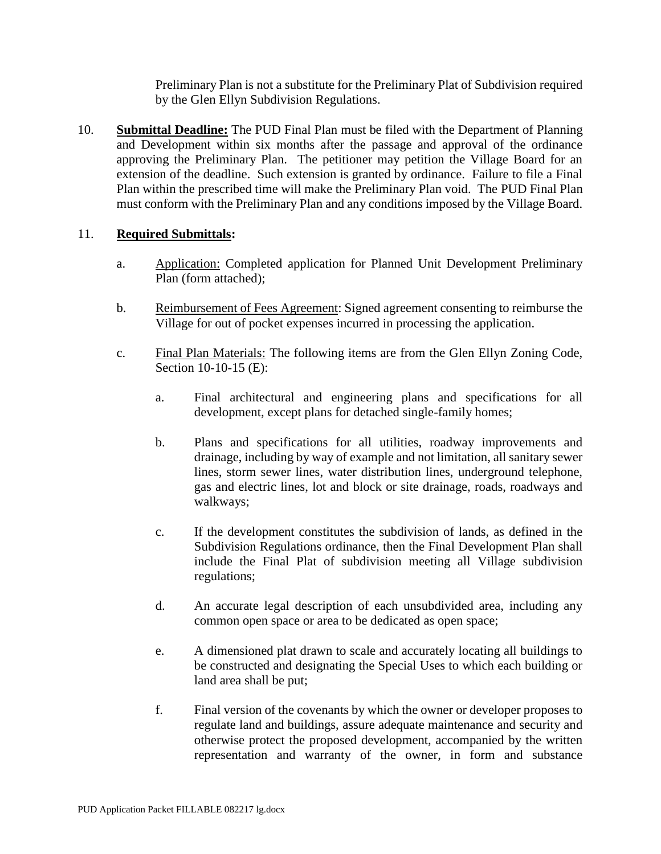Preliminary Plan is not a substitute for the Preliminary Plat of Subdivision required by the Glen Ellyn Subdivision Regulations.

10. **Submittal Deadline:** The PUD Final Plan must be filed with the Department of Planning and Development within six months after the passage and approval of the ordinance approving the Preliminary Plan. The petitioner may petition the Village Board for an extension of the deadline. Such extension is granted by ordinance. Failure to file a Final Plan within the prescribed time will make the Preliminary Plan void. The PUD Final Plan must conform with the Preliminary Plan and any conditions imposed by the Village Board.

## 11. **Required Submittals:**

- a. Application: Completed application for Planned Unit Development Preliminary Plan (form attached);
- b. Reimbursement of Fees Agreement: Signed agreement consenting to reimburse the Village for out of pocket expenses incurred in processing the application.
- c. Final Plan Materials: The following items are from the Glen Ellyn Zoning Code, Section 10-10-15 (E):
	- a. Final architectural and engineering plans and specifications for all development, except plans for detached single-family homes;
	- b. Plans and specifications for all utilities, roadway improvements and drainage, including by way of example and not limitation, all sanitary sewer lines, storm sewer lines, water distribution lines, underground telephone, gas and electric lines, lot and block or site drainage, roads, roadways and walkways;
	- c. If the development constitutes the subdivision of lands, as defined in the Subdivision Regulations ordinance, then the Final Development Plan shall include the Final Plat of subdivision meeting all Village subdivision regulations;
	- d. An accurate legal description of each unsubdivided area, including any common open space or area to be dedicated as open space;
	- e. A dimensioned plat drawn to scale and accurately locating all buildings to be constructed and designating the Special Uses to which each building or land area shall be put;
	- f. Final version of the covenants by which the owner or developer proposes to regulate land and buildings, assure adequate maintenance and security and otherwise protect the proposed development, accompanied by the written representation and warranty of the owner, in form and substance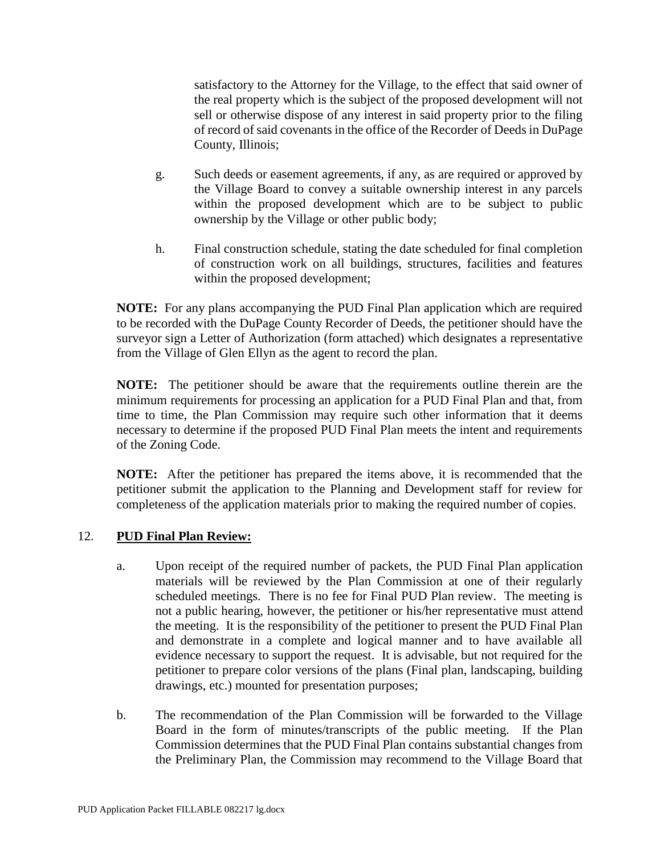satisfactory to the Attorney for the Village, to the effect that said owner of the real property which is the subject of the proposed development will not sell or otherwise dispose of any interest in said property prior to the filing of record of said covenants in the office of the Recorder of Deeds in DuPage County, Illinois;

- g. Such deeds or easement agreements, if any, as are required or approved by the Village Board to convey a suitable ownership interest in any parcels within the proposed development which are to be subject to public ownership by the Village or other public body;
- h. Final construction schedule, stating the date scheduled for final completion of construction work on all buildings, structures, facilities and features within the proposed development;

**NOTE:** For any plans accompanying the PUD Final Plan application which are required to be recorded with the DuPage County Recorder of Deeds, the petitioner should have the surveyor sign a Letter of Authorization (form attached) which designates a representative from the Village of Glen Ellyn as the agent to record the plan.

**NOTE:** The petitioner should be aware that the requirements outline therein are the minimum requirements for processing an application for a PUD Final Plan and that, from time to time, the Plan Commission may require such other information that it deems necessary to determine if the proposed PUD Final Plan meets the intent and requirements of the Zoning Code.

**NOTE:** After the petitioner has prepared the items above, it is recommended that the petitioner submit the application to the Planning and Development staff for review for completeness of the application materials prior to making the required number of copies.

## 12. **PUD Final Plan Review:**

- a. Upon receipt of the required number of packets, the PUD Final Plan application materials will be reviewed by the Plan Commission at one of their regularly scheduled meetings. There is no fee for Final PUD Plan review. The meeting is not a public hearing, however, the petitioner or his/her representative must attend the meeting. It is the responsibility of the petitioner to present the PUD Final Plan and demonstrate in a complete and logical manner and to have available all evidence necessary to support the request. It is advisable, but not required for the petitioner to prepare color versions of the plans (Final plan, landscaping, building drawings, etc.) mounted for presentation purposes;
- b. The recommendation of the Plan Commission will be forwarded to the Village Board in the form of minutes/transcripts of the public meeting. If the Plan Commission determines that the PUD Final Plan contains substantial changes from the Preliminary Plan, the Commission may recommend to the Village Board that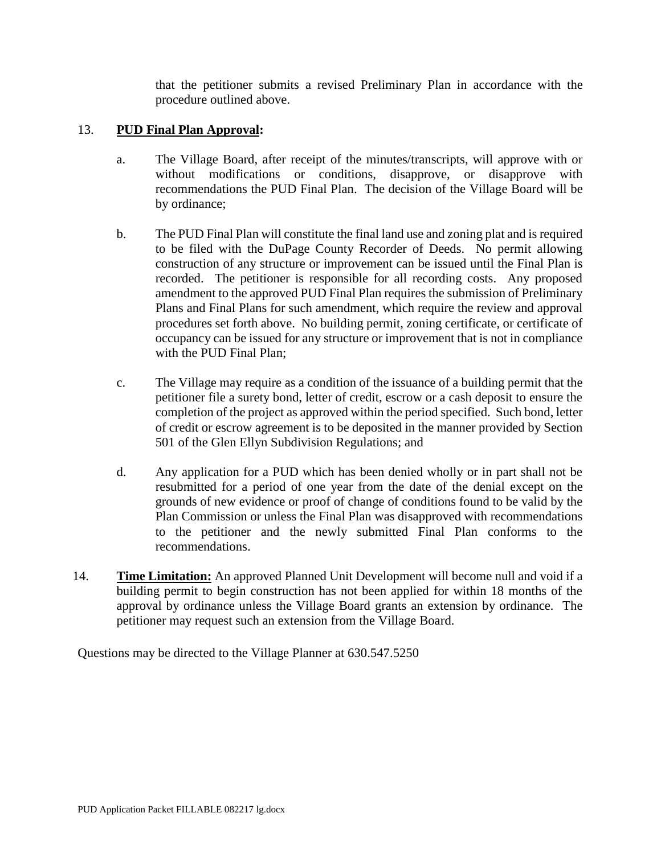that the petitioner submits a revised Preliminary Plan in accordance with the procedure outlined above.

## 13. **PUD Final Plan Approval:**

- a. The Village Board, after receipt of the minutes/transcripts, will approve with or without modifications or conditions, disapprove, or disapprove with recommendations the PUD Final Plan. The decision of the Village Board will be by ordinance;
- b. The PUD Final Plan will constitute the final land use and zoning plat and is required to be filed with the DuPage County Recorder of Deeds. No permit allowing construction of any structure or improvement can be issued until the Final Plan is recorded. The petitioner is responsible for all recording costs. Any proposed amendment to the approved PUD Final Plan requires the submission of Preliminary Plans and Final Plans for such amendment, which require the review and approval procedures set forth above. No building permit, zoning certificate, or certificate of occupancy can be issued for any structure or improvement that is not in compliance with the PUD Final Plan;
- c. The Village may require as a condition of the issuance of a building permit that the petitioner file a surety bond, letter of credit, escrow or a cash deposit to ensure the completion of the project as approved within the period specified. Such bond, letter of credit or escrow agreement is to be deposited in the manner provided by Section 501 of the Glen Ellyn Subdivision Regulations; and
- d. Any application for a PUD which has been denied wholly or in part shall not be resubmitted for a period of one year from the date of the denial except on the grounds of new evidence or proof of change of conditions found to be valid by the Plan Commission or unless the Final Plan was disapproved with recommendations to the petitioner and the newly submitted Final Plan conforms to the recommendations.
- 14. **Time Limitation:** An approved Planned Unit Development will become null and void if a building permit to begin construction has not been applied for within 18 months of the approval by ordinance unless the Village Board grants an extension by ordinance. The petitioner may request such an extension from the Village Board.

Questions may be directed to the Village Planner at 630.547.5250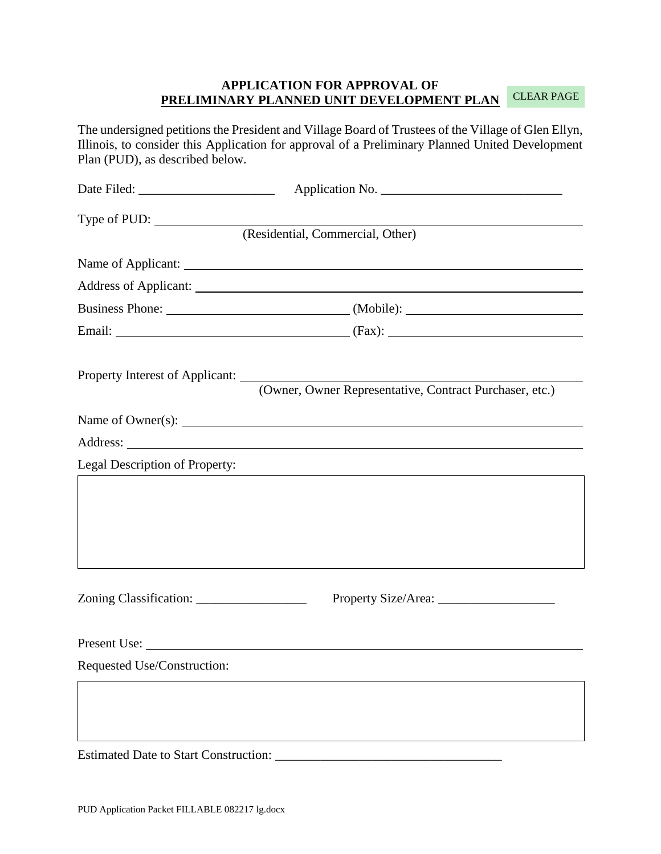#### **APPLICATION FOR APPROVAL OF PRELIMINARY PLANNED UNIT DEVELOPMENT PLAN**  CLEAR PAGE

The undersigned petitions the President and Village Board of Trustees of the Village of Glen Ellyn, Illinois, to consider this Application for approval of a Preliminary Planned United Development Plan (PUD), as described below.

| Type of PUD:                                 |                                                         |
|----------------------------------------------|---------------------------------------------------------|
|                                              | (Residential, Commercial, Other)                        |
|                                              |                                                         |
|                                              |                                                         |
|                                              | Business Phone: (Mobile): (Mobile):                     |
|                                              |                                                         |
|                                              |                                                         |
|                                              | (Owner, Owner Representative, Contract Purchaser, etc.) |
|                                              | Name of Owner(s): $\qquad \qquad$                       |
|                                              |                                                         |
| Legal Description of Property:               |                                                         |
|                                              |                                                         |
|                                              |                                                         |
|                                              |                                                         |
|                                              |                                                         |
|                                              |                                                         |
|                                              |                                                         |
|                                              | Present Use:                                            |
| Requested Use/Construction:                  |                                                         |
|                                              |                                                         |
|                                              |                                                         |
|                                              |                                                         |
| <b>Estimated Date to Start Construction:</b> |                                                         |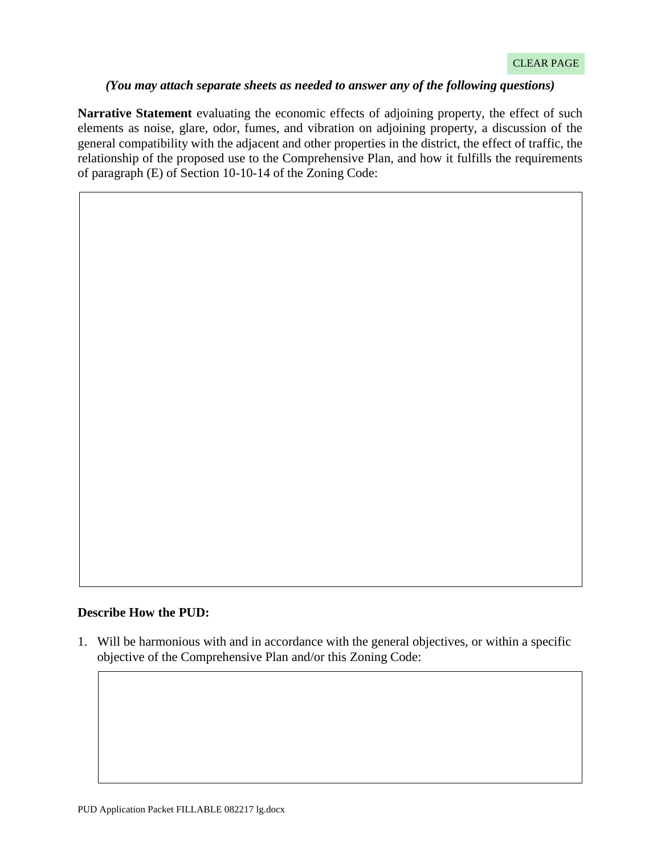#### *(You may attach separate sheets as needed to answer any of the following questions)*

**Narrative Statement** evaluating the economic effects of adjoining property, the effect of such elements as noise, glare, odor, fumes, and vibration on adjoining property, a discussion of the general compatibility with the adjacent and other properties in the district, the effect of traffic, the relationship of the proposed use to the Comprehensive Plan, and how it fulfills the requirements of paragraph (E) of Section 10-10-14 of the Zoning Code:

#### **Describe How the PUD:**

1. Will be harmonious with and in accordance with the general objectives, or within a specific objective of the Comprehensive Plan and/or this Zoning Code: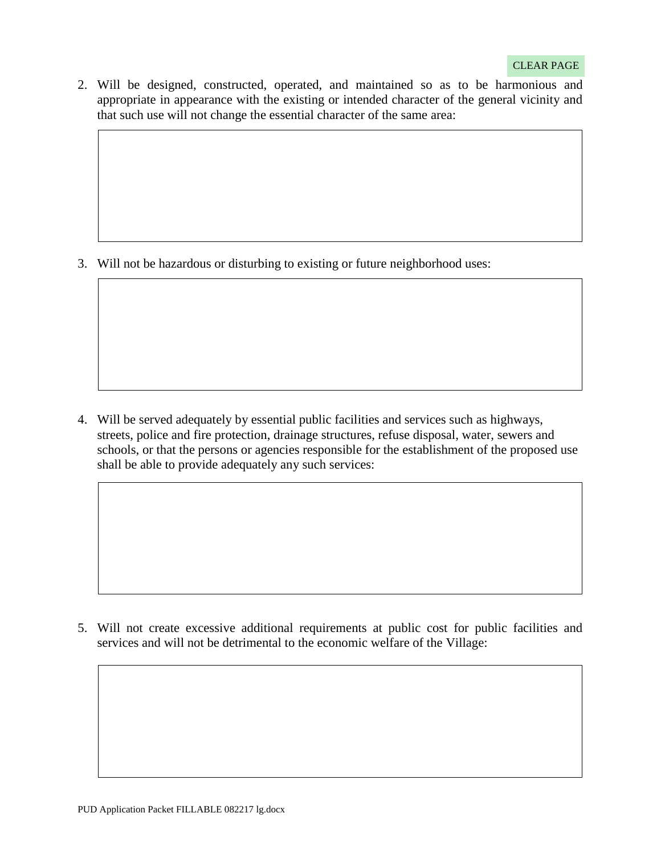2. Will be designed, constructed, operated, and maintained so as to be harmonious and appropriate in appearance with the existing or intended character of the general vicinity and that such use will not change the essential character of the same area:

3. Will not be hazardous or disturbing to existing or future neighborhood uses:

4. Will be served adequately by essential public facilities and services such as highways, streets, police and fire protection, drainage structures, refuse disposal, water, sewers and schools, or that the persons or agencies responsible for the establishment of the proposed use shall be able to provide adequately any such services:

5. Will not create excessive additional requirements at public cost for public facilities and services and will not be detrimental to the economic welfare of the Village: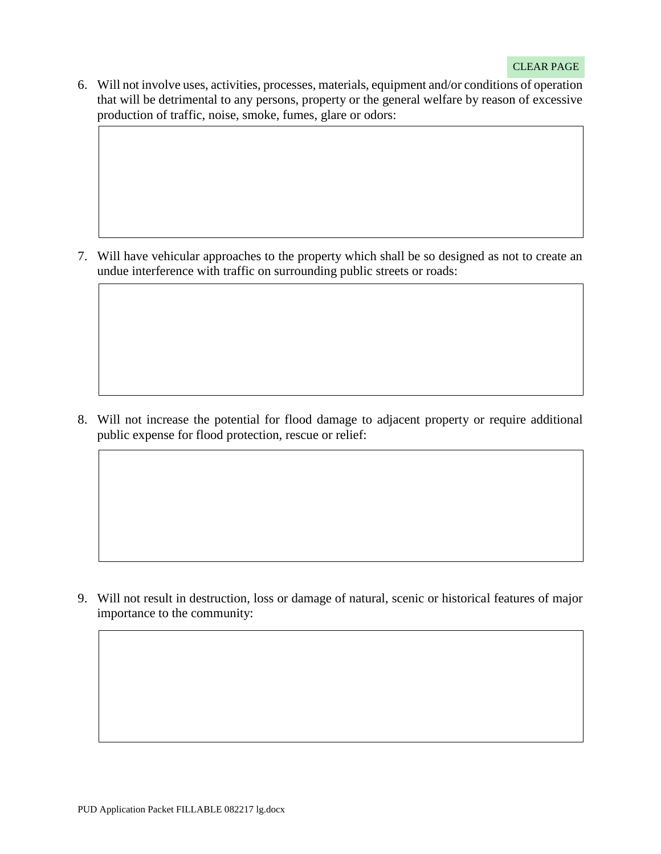6. Will not involve uses, activities, processes, materials, equipment and/or conditions of operation that will be detrimental to any persons, property or the general welfare by reason of excessive production of traffic, noise, smoke, fumes, glare or odors:

7. Will have vehicular approaches to the property which shall be so designed as not to create an undue interference with traffic on surrounding public streets or roads:

8. Will not increase the potential for flood damage to adjacent property or require additional public expense for flood protection, rescue or relief:

9. Will not result in destruction, loss or damage of natural, scenic or historical features of major importance to the community: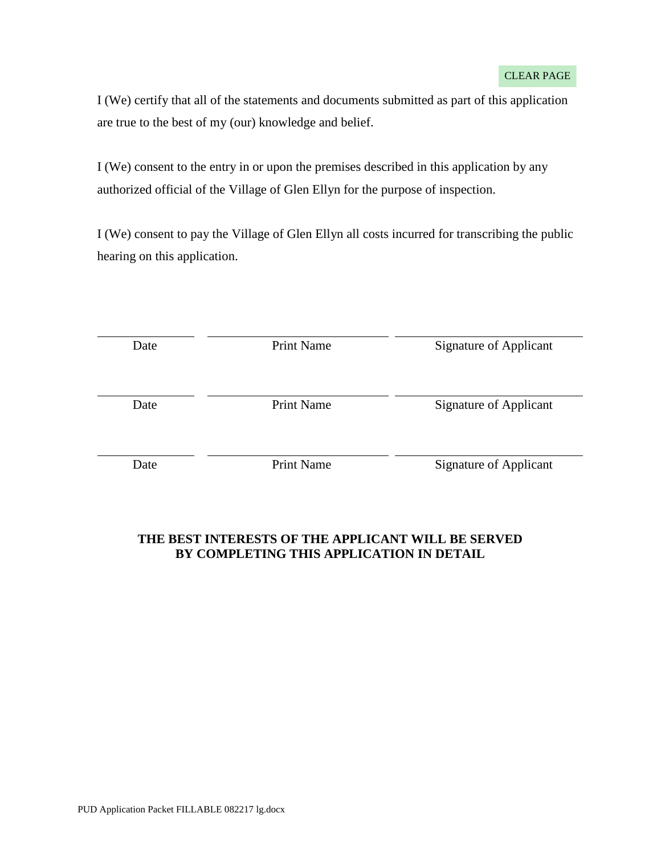I (We) certify that all of the statements and documents submitted as part of this application are true to the best of my (our) knowledge and belief.

I (We) consent to the entry in or upon the premises described in this application by any authorized official of the Village of Glen Ellyn for the purpose of inspection.

I (We) consent to pay the Village of Glen Ellyn all costs incurred for transcribing the public hearing on this application.

| Date | <b>Print Name</b> | Signature of Applicant        |
|------|-------------------|-------------------------------|
| Date | <b>Print Name</b> | <b>Signature of Applicant</b> |
| Date | <b>Print Name</b> | Signature of Applicant        |

## **THE BEST INTERESTS OF THE APPLICANT WILL BE SERVED BY COMPLETING THIS APPLICATION IN DETAIL**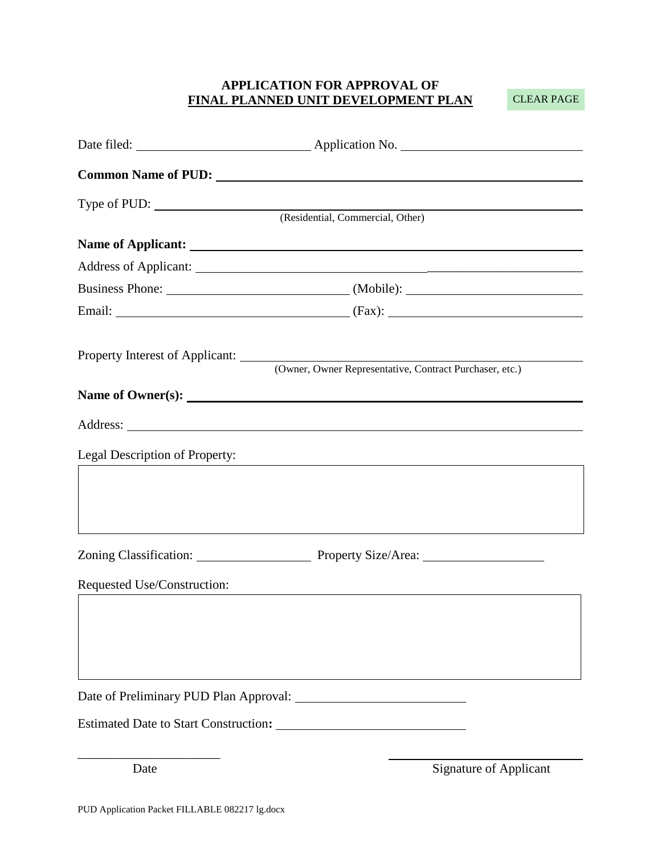## **APPLICATION FOR APPROVAL OF FINAL PLANNED UNIT DEVELOPMENT PLAN**

CLEAR PAGE

|                                              | Common Name of PUD:                                                                                                                                                                                                            |
|----------------------------------------------|--------------------------------------------------------------------------------------------------------------------------------------------------------------------------------------------------------------------------------|
| Type of PUD:                                 | (Residential, Commercial, Other)                                                                                                                                                                                               |
|                                              |                                                                                                                                                                                                                                |
| Name of Applicant: <u>Name of Applicant</u>  |                                                                                                                                                                                                                                |
|                                              |                                                                                                                                                                                                                                |
|                                              | Business Phone: (Mobile): 2008. [2013] (Mobile): 2014. [2013] (Mobile): 2014. [2013] (Mobile): 2014. [2013] (Mobile): 2014. [2014] (Mobile): 2014. [2014] (Mobile): 2014. [2014] (Mobile): 2014. [2014] (Mobile): 2014. [2014] |
|                                              |                                                                                                                                                                                                                                |
|                                              | Property Interest of Applicant: (Owner, Owner Representative, Contract Purchaser, etc.)                                                                                                                                        |
|                                              |                                                                                                                                                                                                                                |
|                                              |                                                                                                                                                                                                                                |
|                                              |                                                                                                                                                                                                                                |
| Legal Description of Property:               | and the control of the control of the control of the control of the control of the control of the control of the                                                                                                               |
|                                              |                                                                                                                                                                                                                                |
|                                              |                                                                                                                                                                                                                                |
|                                              |                                                                                                                                                                                                                                |
|                                              | Zoning Classification: Property Size/Area: 2010 2011 2012                                                                                                                                                                      |
| Requested Use/Construction:                  |                                                                                                                                                                                                                                |
|                                              |                                                                                                                                                                                                                                |
|                                              |                                                                                                                                                                                                                                |
|                                              |                                                                                                                                                                                                                                |
| Date of Preliminary PUD Plan Approval:       |                                                                                                                                                                                                                                |
| <b>Estimated Date to Start Construction:</b> |                                                                                                                                                                                                                                |

\_\_\_\_\_\_\_\_\_\_\_\_\_\_\_\_\_\_\_\_\_\_

Date Signature of Applicant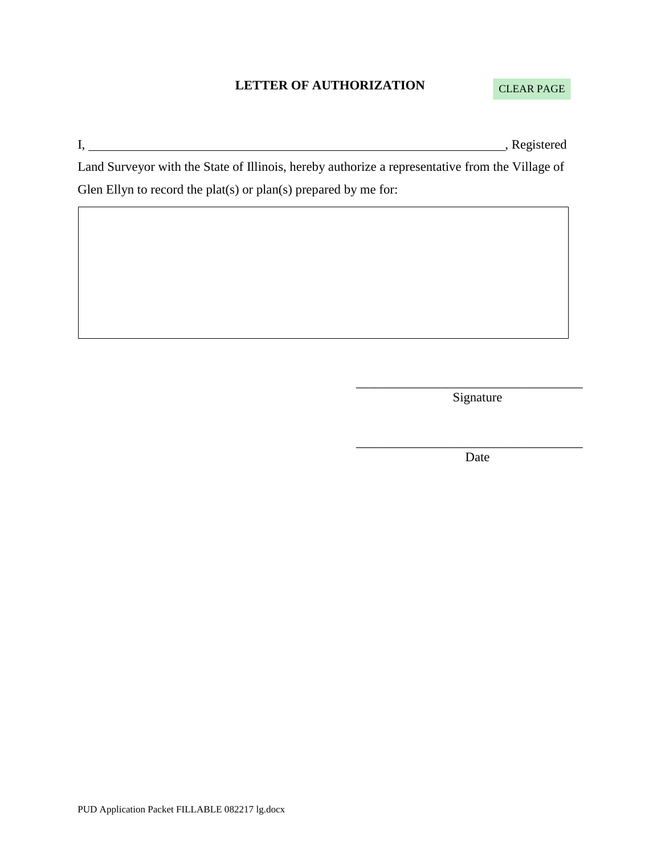## **LETTER OF AUTHORIZATION**

## CLEAR PAGE

I, Registered

Land Surveyor with the State of Illinois, hereby authorize a representative from the Village of Glen Ellyn to record the plat(s) or plan(s) prepared by me for:

> \_\_\_\_\_\_\_\_\_\_\_\_\_\_\_\_\_\_\_\_\_\_\_\_\_\_\_\_\_\_\_\_\_\_\_ Signature

> \_\_\_\_\_\_\_\_\_\_\_\_\_\_\_\_\_\_\_\_\_\_\_\_\_\_\_\_\_\_\_\_\_\_\_ Date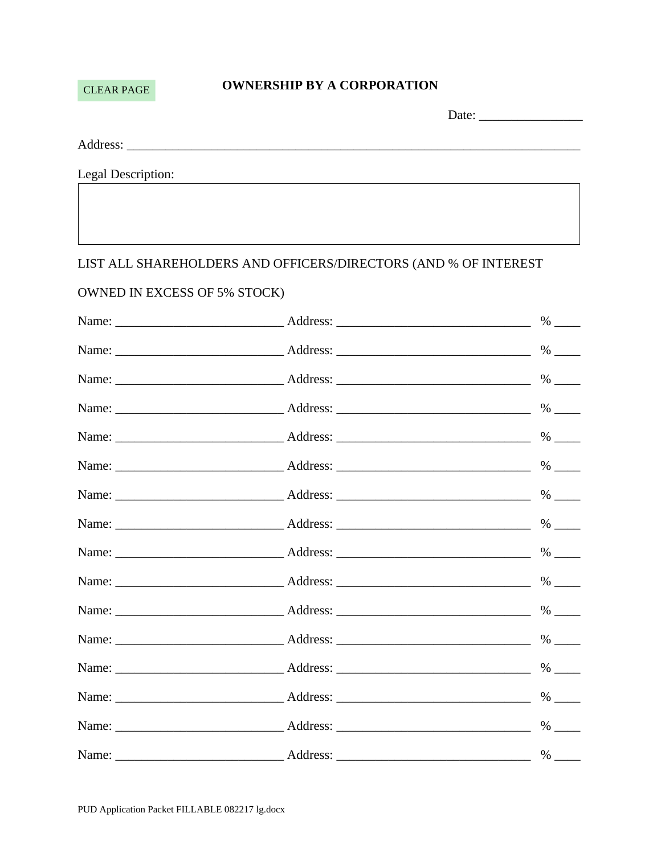## **CLEAR PAGE**

## **OWNERSHIP BY A CORPORATION**

|          | Date: |
|----------|-------|
|          |       |
|          |       |
| Address: |       |

Legal Description:

## LIST ALL SHAREHOLDERS AND OFFICERS/DIRECTORS (AND % OF INTEREST

## OWNED IN EXCESS OF 5% STOCK)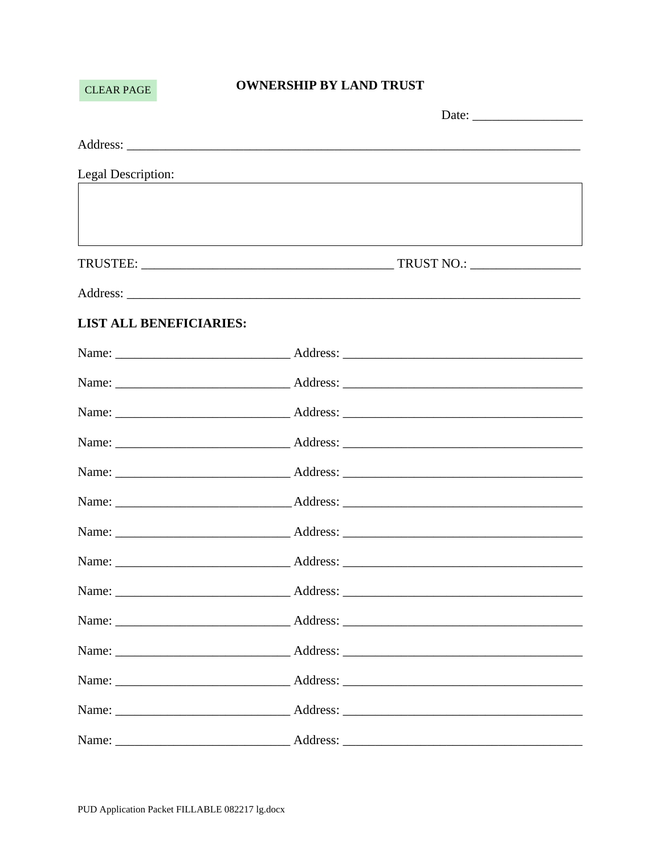## **CLEAR PAGE**

## **OWNERSHIP BY LAND TRUST**

| Legal Description:             | <u> 1989 - Johann Stein, marwolaethau a bhann an t-Amhain an t-Amhain an t-Amhain an t-Amhain an t-Amhain an t-A</u> |
|--------------------------------|----------------------------------------------------------------------------------------------------------------------|
|                                |                                                                                                                      |
|                                | ,我们也不会有什么。""我们的人,我们也不会有什么?""我们的人,我们也不会有什么?""我们的人,我们也不会有什么?""我们的人,我们也不会有什么?""我们的人                                     |
|                                |                                                                                                                      |
|                                |                                                                                                                      |
| <b>LIST ALL BENEFICIARIES:</b> |                                                                                                                      |
|                                |                                                                                                                      |
|                                |                                                                                                                      |
|                                |                                                                                                                      |
|                                |                                                                                                                      |
|                                |                                                                                                                      |
|                                |                                                                                                                      |
|                                |                                                                                                                      |
|                                |                                                                                                                      |
|                                |                                                                                                                      |
|                                |                                                                                                                      |
|                                |                                                                                                                      |
|                                |                                                                                                                      |
|                                |                                                                                                                      |
|                                |                                                                                                                      |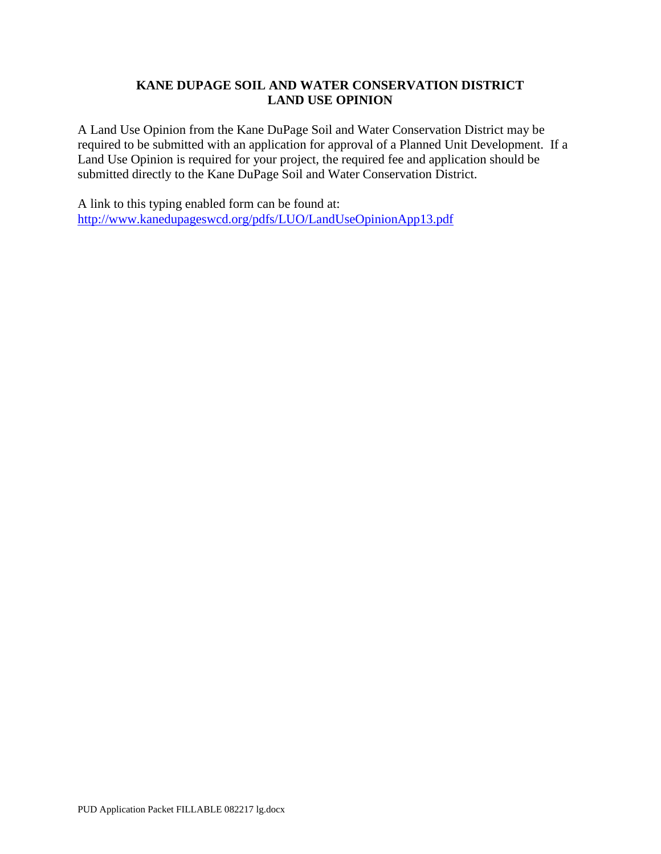## **KANE DUPAGE SOIL AND WATER CONSERVATION DISTRICT LAND USE OPINION**

A Land Use Opinion from the Kane DuPage Soil and Water Conservation District may be required to be submitted with an application for approval of a Planned Unit Development. If a Land Use Opinion is required for your project, the required fee and application should be submitted directly to the Kane DuPage Soil and Water Conservation District.

A link to this typing enabled form can be found at: <http://www.kanedupageswcd.org/pdfs/LUO/LandUseOpinionApp13.pdf>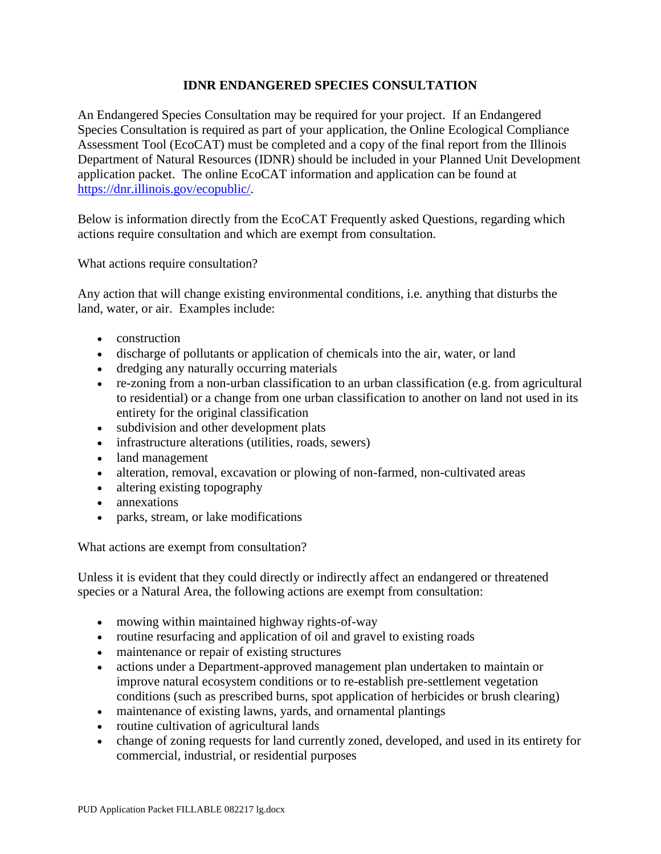## **IDNR ENDANGERED SPECIES CONSULTATION**

An Endangered Species Consultation may be required for your project. If an Endangered Species Consultation is required as part of your application, the Online Ecological Compliance Assessment Tool (EcoCAT) must be completed and a copy of the final report from the Illinois Department of Natural Resources (IDNR) should be included in your Planned Unit Development application packet. The online EcoCAT information and application can be found at [https://dnr.illinois.gov/ecopublic/.](https://dnr.illinois.gov/ecopublic/)

Below is information directly from the EcoCAT Frequently asked Questions, regarding which actions require consultation and which are exempt from consultation.

What actions require consultation?

Any action that will change existing environmental conditions, i.e. anything that disturbs the land, water, or air. Examples include:

- construction
- discharge of pollutants or application of chemicals into the air, water, or land
- dredging any naturally occurring materials
- re-zoning from a non-urban classification to an urban classification (e.g. from agricultural to residential) or a change from one urban classification to another on land not used in its entirety for the original classification
- subdivision and other development plats
- infrastructure alterations (utilities, roads, sewers)
- land management
- alteration, removal, excavation or plowing of non-farmed, non-cultivated areas
- altering existing topography
- annexations
- parks, stream, or lake modifications

What actions are exempt from consultation?

Unless it is evident that they could directly or indirectly affect an endangered or threatened species or a Natural Area, the following actions are exempt from consultation:

- mowing within maintained highway rights-of-way
- routine resurfacing and application of oil and gravel to existing roads
- maintenance or repair of existing structures
- actions under a Department-approved management plan undertaken to maintain or improve natural ecosystem conditions or to re-establish pre-settlement vegetation conditions (such as prescribed burns, spot application of herbicides or brush clearing)
- maintenance of existing lawns, yards, and ornamental plantings
- routine cultivation of agricultural lands
- change of zoning requests for land currently zoned, developed, and used in its entirety for commercial, industrial, or residential purposes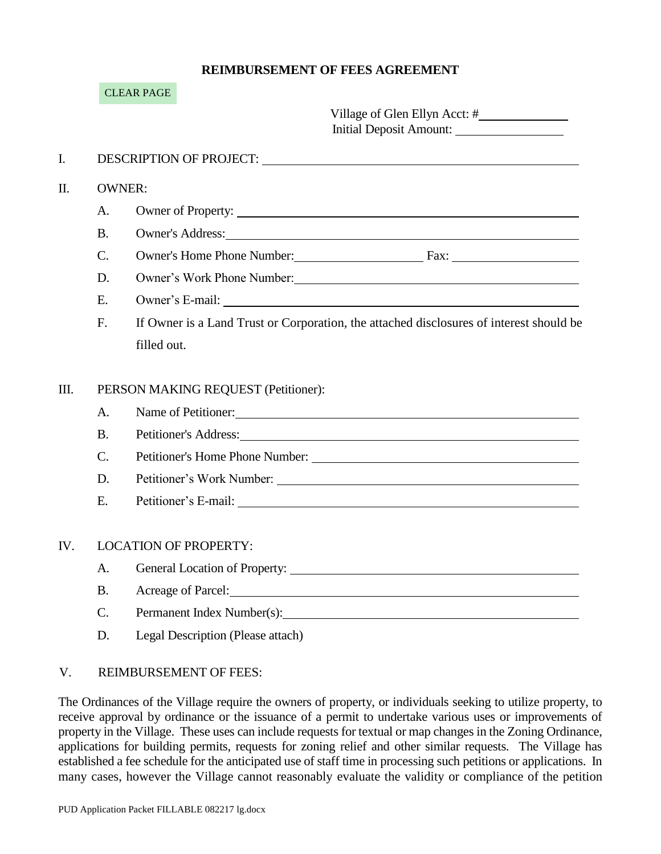## **REIMBURSEMENT OF FEES AGREEMENT**

|      |                 | <b>CLEAR PAGE</b>                   |                                                                                                                                                                                                                                      |
|------|-----------------|-------------------------------------|--------------------------------------------------------------------------------------------------------------------------------------------------------------------------------------------------------------------------------------|
|      |                 |                                     | Village of Glen Ellyn Acct: #<br>Initial Deposit Amount:                                                                                                                                                                             |
| I.   |                 |                                     | DESCRIPTION OF PROJECT: University of the contract of the contract of the contract of the contract of the contract of the contract of the contract of the contract of the contract of the contract of the contract of the cont       |
| Π.   |                 | <b>OWNER:</b>                       |                                                                                                                                                                                                                                      |
|      | A.              |                                     | Owner of Property:                                                                                                                                                                                                                   |
|      | <b>B.</b>       |                                     | Owner's Address: New York Contract to the Second Contract of the Second Contract of the Second Contract of the Second Contract of the Second Contract of the Second Contract of the Second Contract of the Second Contract of        |
|      | $\mathcal{C}$ . |                                     | Owner's Home Phone Number: Fax: Fax:                                                                                                                                                                                                 |
|      | D.              |                                     | Owner's Work Phone Number: University of the University of the University of the University of the University of the University of the University of the University of the University of the University of the University of t       |
|      | E.              |                                     |                                                                                                                                                                                                                                      |
|      | F.              |                                     | If Owner is a Land Trust or Corporation, the attached disclosures of interest should be                                                                                                                                              |
|      |                 | filled out.                         |                                                                                                                                                                                                                                      |
| III. |                 | PERSON MAKING REQUEST (Petitioner): |                                                                                                                                                                                                                                      |
|      | A.              |                                     | Name of Petitioner:                                                                                                                                                                                                                  |
|      | <b>B.</b>       |                                     | Petitioner's Address: New York Contact the Contract of the Contract of the Contract of the Contract of the Contract of the Contract of the Contract of the Contract of the Contract of the Contract of the Contract of the Con       |
|      | $C_{\cdot}$     |                                     | Petitioner's Home Phone Number:<br>expansion of the Second Second Second Second Second Second Second Second Second Second Second Second Second Second Second Second Second Second Second Second Second Second Second Second Seco     |
|      | D.              |                                     |                                                                                                                                                                                                                                      |
|      | E.              |                                     | Petitioner's E-mail: University of the set of the set of the set of the set of the set of the set of the set of the set of the set of the set of the set of the set of the set of the set of the set of the set of the set of        |
| IV.  |                 | <b>LOCATION OF PROPERTY:</b>        |                                                                                                                                                                                                                                      |
|      | A.              |                                     |                                                                                                                                                                                                                                      |
|      | <b>B.</b>       |                                     | Acreage of Parcel: <u>Contract Contract Contract Contract Contract Contract Contract Contract Contract Contract Contract Contract Contract Contract Contract Contract Contract Contract Contract Contract Contract Contract Cont</u> |
|      | $\mathcal{C}$ . | Permanent Index Number(s):          |                                                                                                                                                                                                                                      |

D. Legal Description (Please attach)

### V. REIMBURSEMENT OF FEES:

The Ordinances of the Village require the owners of property, or individuals seeking to utilize property, to receive approval by ordinance or the issuance of a permit to undertake various uses or improvements of property in the Village. These uses can include requests for textual or map changes in the Zoning Ordinance, applications for building permits, requests for zoning relief and other similar requests. The Village has established a fee schedule for the anticipated use of staff time in processing such petitions or applications. In many cases, however the Village cannot reasonably evaluate the validity or compliance of the petition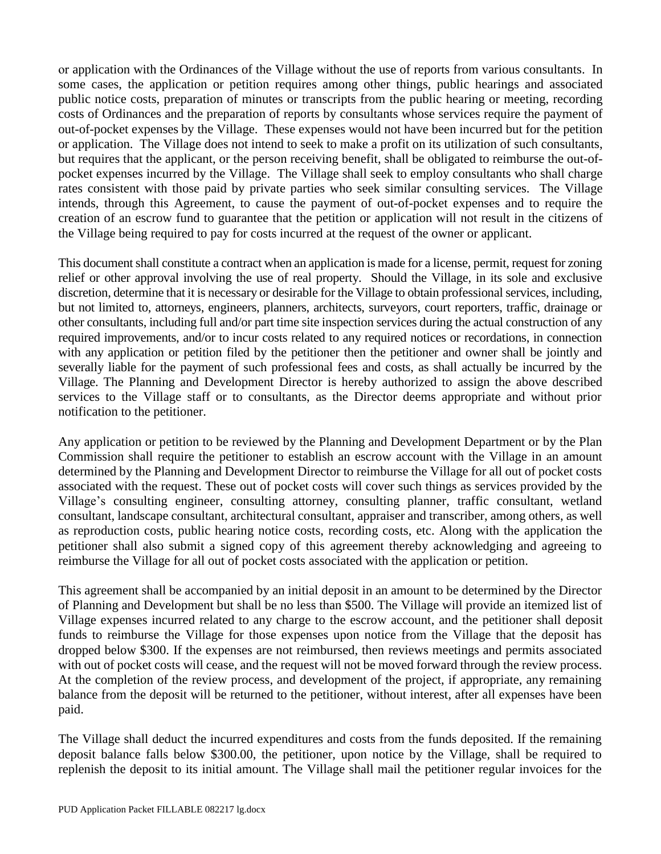or application with the Ordinances of the Village without the use of reports from various consultants. In some cases, the application or petition requires among other things, public hearings and associated public notice costs, preparation of minutes or transcripts from the public hearing or meeting, recording costs of Ordinances and the preparation of reports by consultants whose services require the payment of out-of-pocket expenses by the Village. These expenses would not have been incurred but for the petition or application. The Village does not intend to seek to make a profit on its utilization of such consultants, but requires that the applicant, or the person receiving benefit, shall be obligated to reimburse the out-ofpocket expenses incurred by the Village. The Village shall seek to employ consultants who shall charge rates consistent with those paid by private parties who seek similar consulting services. The Village intends, through this Agreement, to cause the payment of out-of-pocket expenses and to require the creation of an escrow fund to guarantee that the petition or application will not result in the citizens of the Village being required to pay for costs incurred at the request of the owner or applicant.

This document shall constitute a contract when an application is made for a license, permit, request for zoning relief or other approval involving the use of real property. Should the Village, in its sole and exclusive discretion, determine that it is necessary or desirable for the Village to obtain professional services, including, but not limited to, attorneys, engineers, planners, architects, surveyors, court reporters, traffic, drainage or other consultants, including full and/or part time site inspection services during the actual construction of any required improvements, and/or to incur costs related to any required notices or recordations, in connection with any application or petition filed by the petitioner then the petitioner and owner shall be jointly and severally liable for the payment of such professional fees and costs, as shall actually be incurred by the Village. The Planning and Development Director is hereby authorized to assign the above described services to the Village staff or to consultants, as the Director deems appropriate and without prior notification to the petitioner.

Any application or petition to be reviewed by the Planning and Development Department or by the Plan Commission shall require the petitioner to establish an escrow account with the Village in an amount determined by the Planning and Development Director to reimburse the Village for all out of pocket costs associated with the request. These out of pocket costs will cover such things as services provided by the Village's consulting engineer, consulting attorney, consulting planner, traffic consultant, wetland consultant, landscape consultant, architectural consultant, appraiser and transcriber, among others, as well as reproduction costs, public hearing notice costs, recording costs, etc. Along with the application the petitioner shall also submit a signed copy of this agreement thereby acknowledging and agreeing to reimburse the Village for all out of pocket costs associated with the application or petition.

This agreement shall be accompanied by an initial deposit in an amount to be determined by the Director of Planning and Development but shall be no less than \$500. The Village will provide an itemized list of Village expenses incurred related to any charge to the escrow account, and the petitioner shall deposit funds to reimburse the Village for those expenses upon notice from the Village that the deposit has dropped below \$300. If the expenses are not reimbursed, then reviews meetings and permits associated with out of pocket costs will cease, and the request will not be moved forward through the review process. At the completion of the review process, and development of the project, if appropriate, any remaining balance from the deposit will be returned to the petitioner, without interest, after all expenses have been paid.

The Village shall deduct the incurred expenditures and costs from the funds deposited. If the remaining deposit balance falls below \$300.00, the petitioner, upon notice by the Village, shall be required to replenish the deposit to its initial amount. The Village shall mail the petitioner regular invoices for the